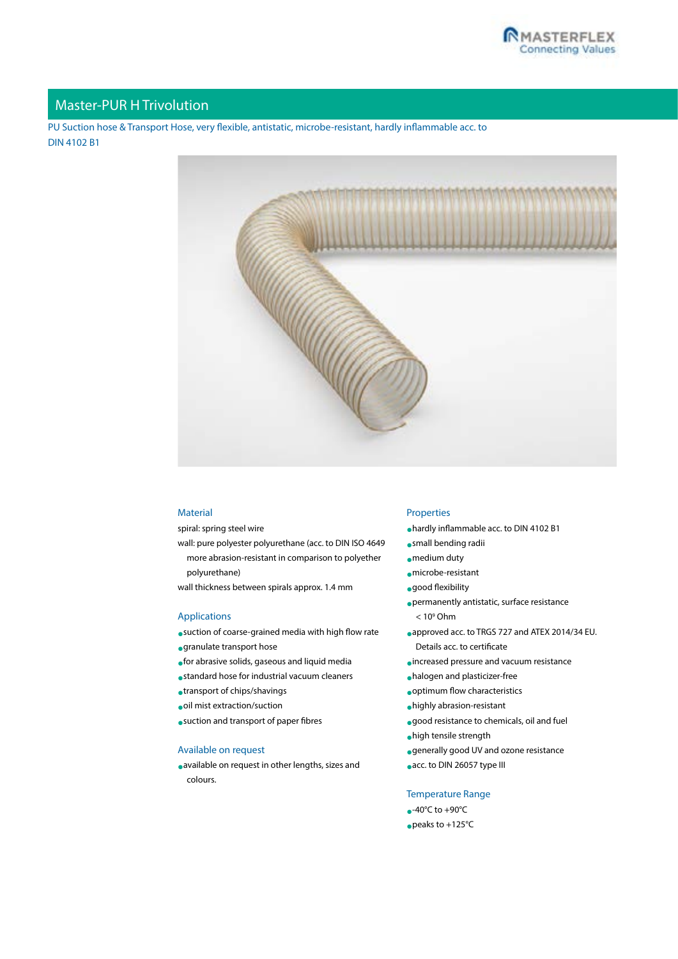

# Master-PUR H Trivolution

PU Suction hose & Transport Hose, very flexible, antistatic, microbe-resistant, hardly inflammable acc. to DIN 4102 B1



### Material

spiral: spring steel wire

wall: pure polyester polyurethane (acc. to DIN ISO 4649 more abrasion-resistant in comparison to polyether polyurethane)

wall thickness between spirals approx. 1.4 mm

## Applications

- •suction of coarse-grained media with high flow rate
- •granulate transport hose
- •for abrasive solids, gaseous and liquid media
- •standard hose for industrial vacuum cleaners
- •transport of chips/shavings
- •oil mist extraction/suction
- •suction and transport of paper fibres

#### Available on request

•available on request in other lengths, sizes and colours.

#### Properties

- •hardly inflammable acc. to DIN 4102 B1
- •small bending radii
- •medium duty
- •microbe-resistant
- •good flexibility
- •permanently antistatic, surface resistance  $< 10<sup>9</sup>$  Ohm
- •approved acc. to TRGS 727 and ATEX 2014/34 EU. [Details acc. to certificate](http://www.masterflex.de/fileadmin/user_upload/Masterflex_operativ/Zertifikate/TRGS_727_MasterflexGroup_01-2017_EN.pdf)
- •increased pressure and vacuum resistance
- •halogen and plasticizer-free
- •optimum flow characteristics
- •highly abrasion-resistant
- •good resistance to chemicals, oil and fuel
- •high tensile strength
- •generally good UV and ozone resistance
- •acc. to DIN 26057 type III

#### Temperature Range

 $\bullet$ -40°C to +90°C •peaks to +125°C